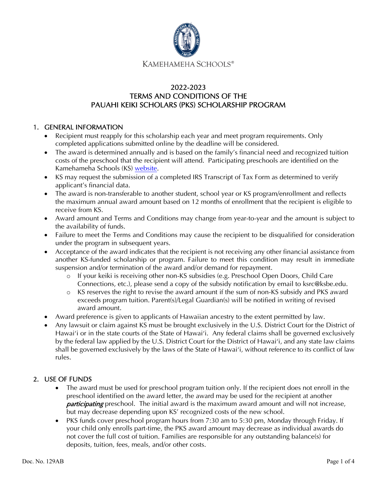

## 2022-2023 TERMS AND CONDITIONS OF THE PAUAHI KEIKI SCHOLARS (PKS) SCHOLARSHIP PROGRAM

## 1. GENERAL INFORMATION

- Recipient must reapply for this scholarship each year and meet program requirements. Only completed applications submitted online by the deadline will be considered.
- The award is determined annually and is based on the family's financial need and recognized tuition costs of the preschool that the recipient will attend. Participating preschools are identified on the Kamehameha Schools (KS) [website](https://www.ksbe.edu/apply/financial_aid/preschool/pauahi_keiki_scholars/).
- KS may request the submission of a completed IRS Transcript of Tax Form as determined to verify applicant's financial data.
- The award is non-transferable to another student, school year or KS program/enrollment and reflects the maximum annual award amount based on 12 months of enrollment that the recipient is eligible to receive from KS.
- Award amount and Terms and Conditions may change from year-to-year and the amount is subject to the availability of funds.
- Failure to meet the Terms and Conditions may cause the recipient to be disqualified for consideration under the program in subsequent years.
- Acceptance of the award indicates that the recipient is not receiving any other financial assistance from another KS-funded scholarship or program. Failure to meet this condition may result in immediate suspension and/or termination of the award and/or demand for repayment.
	- o If your keiki is receiving other non-KS subsidies (e.g. Preschool Open Doors, Child Care Connections, etc.), please send a copy of the subsidy notification by email to ksrc@ksbe.edu.
	- o KS reserves the right to revise the award amount if the sum of non-KS subsidy and PKS award exceeds program tuition. Parent(s)/Legal Guardian(s) will be notified in writing of revised award amount.
- Award preference is given to applicants of Hawaiian ancestry to the extent permitted by law.
- Any lawsuit or claim against KS must be brought exclusively in the U.S. District Court for the District of Hawai'i or in the state courts of the State of Hawai'i. Any federal claims shall be governed exclusively by the federal law applied by the U.S. District Court for the District of Hawai'i, and any state law claims shall be governed exclusively by the laws of the State of Hawai'i, without reference to its conflict of law rules.

## 2. USE OF FUNDS

- The award must be used for preschool program tuition only. If the recipient does not enroll in the preschool identified on the award letter, the award may be used for the recipient at another *participating* preschool. The initial award is the maximum award amount and will not increase, but may decrease depending upon KS' recognized costs of the new school.
- PKS funds cover preschool program hours from 7:30 am to 5:30 pm, Monday through Friday. If your child only enrolls part-time, the PKS award amount may decrease as individual awards do not cover the full cost of tuition. Families are responsible for any outstanding balance(s) for deposits, tuition, fees, meals, and/or other costs.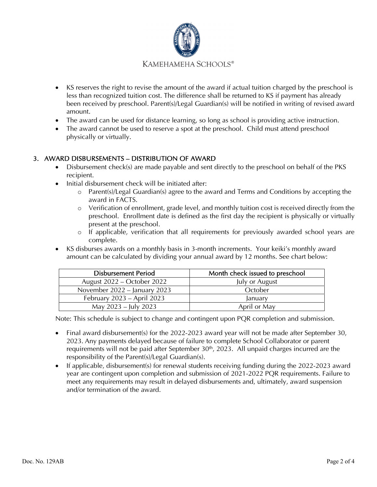

- KS reserves the right to revise the amount of the award if actual tuition charged by the preschool is less than recognized tuition cost. The difference shall be returned to KS if payment has already been received by preschool. Parent(s)/Legal Guardian(s) will be notified in writing of revised award amount.
- The award can be used for distance learning, so long as school is providing active instruction.
- The award cannot be used to reserve a spot at the preschool. Child must attend preschool physically or virtually.

## 3. AWARD DISBURSEMENTS – DISTRIBUTION OF AWARD

- Disbursement check(s) are made payable and sent directly to the preschool on behalf of the PKS recipient.
- Initial disbursement check will be initiated after:
	- o Parent(s)/Legal Guardian(s) agree to the award and Terms and Conditions by accepting the award in FACTS.
	- o Verification of enrollment, grade level, and monthly tuition cost is received directly from the preschool. Enrollment date is defined as the first day the recipient is physically or virtually present at the preschool.
	- o If applicable, verification that all requirements for previously awarded school years are complete.
- KS disburses awards on a monthly basis in 3-month increments. Your keiki's monthly award amount can be calculated by dividing your annual award by 12 months. See chart below:

| <b>Disbursement Period</b>     | Month check issued to preschool |
|--------------------------------|---------------------------------|
| August 2022 – October 2022     | July or August                  |
| November $2022 -$ January 2023 | October                         |
| February $2023$ – April $2023$ | January                         |
| May 2023 – July 2023           | April or May                    |

Note: This schedule is subject to change and contingent upon PQR completion and submission.

- Final award disbursement(s) for the 2022-2023 award year will not be made after September 30, 2023. Any payments delayed because of failure to complete School Collaborator or parent requirements will not be paid after September 30<sup>th</sup>, 2023. All unpaid charges incurred are the responsibility of the Parent(s)/Legal Guardian(s).
- If applicable, disbursement(s) for renewal students receiving funding during the 2022-2023 award year are contingent upon completion and submission of 2021-2022 PQR requirements. Failure to meet any requirements may result in delayed disbursements and, ultimately, award suspension and/or termination of the award.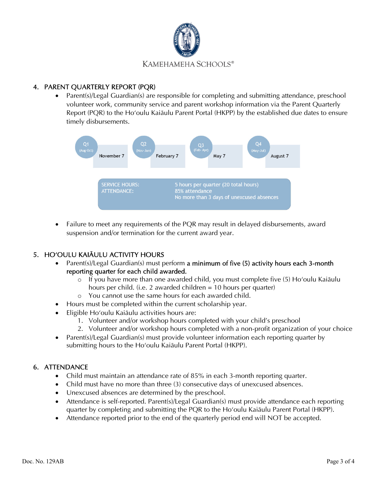

# 4. PARENT QUARTERLY REPORT (PQR)

 Parent(s)/Legal Guardian(s) are responsible for completing and submitting attendance, preschool volunteer work, community service and parent workshop information via the Parent Quarterly Report (PQR) to the Hoʻoulu Kaiāulu Parent Portal (HKPP) by the established due dates to ensure timely disbursements.



• Failure to meet any requirements of the PQR may result in delayed disbursements, award suspension and/or termination for the current award year.

## 5. HOʻOULU KAIĀULU ACTIVITY HOURS

- Parent(s)/Legal Guardian(s) must perform a minimum of five (5) activity hours each 3-month reporting quarter for each child awarded.
	- o If you have more than one awarded child, you must complete five (5) Hoʻoulu Kaiāulu hours per child. (i.e. 2 awarded children = 10 hours per quarter)
	- o You cannot use the same hours for each awarded child.
- Hours must be completed within the current scholarship year.
- Eligible Hoʻoulu Kaiāulu activities hours are:
	- 1. Volunteer and/or workshop hours completed with your child's preschool
	- 2. Volunteer and/or workshop hours completed with a non-profit organization of your choice
- Parent(s)/Legal Guardian(s) must provide volunteer information each reporting quarter by submitting hours to the Hoʻoulu Kaiāulu Parent Portal (HKPP).

#### 6. ATTENDANCE

- Child must maintain an attendance rate of 85% in each 3-month reporting quarter.
- Child must have no more than three (3) consecutive days of unexcused absences.
- Unexcused absences are determined by the preschool.
- Attendance is self-reported. Parent(s)/Legal Guardian(s) must provide attendance each reporting quarter by completing and submitting the PQR to the Hoʻoulu Kaiāulu Parent Portal (HKPP).
- Attendance reported prior to the end of the quarterly period end will NOT be accepted.